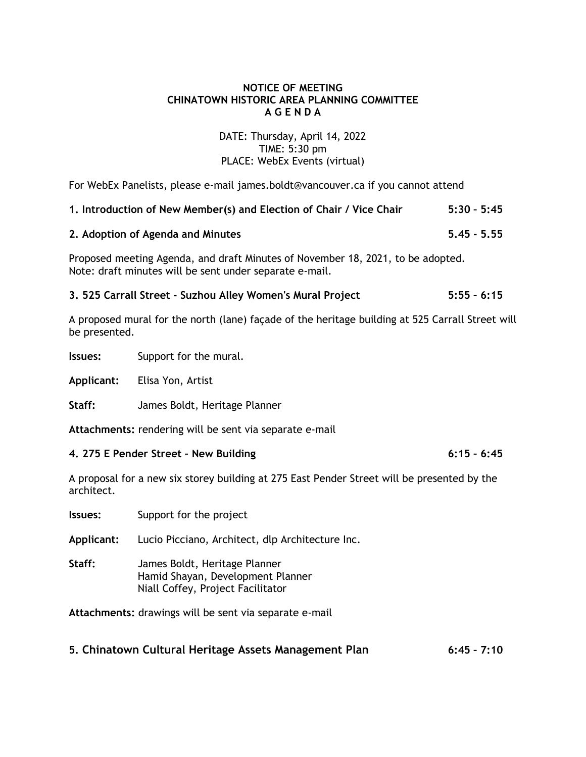# **NOTICE OF MEETING CHINATOWN HISTORIC AREA PLANNING COMMITTEE A G E N D A**

## DATE: Thursday, April 14, 2022 TIME: 5:30 pm PLACE: WebEx Events (virtual)

For WebEx Panelists, please e-mail james.boldt@vancouver.ca if you cannot attend

| 1. Introduction of New Member(s) and Election of Chair / Vice Chair | $5:30 - 5:45$ |
|---------------------------------------------------------------------|---------------|
|---------------------------------------------------------------------|---------------|

## **2. Adoption of Agenda and Minutes 5.45 - 5.55**

Proposed meeting Agenda, and draft Minutes of November 18, 2021, to be adopted. Note: draft minutes will be sent under separate e-mail.

# **3. 525 Carrall Street - Suzhou Alley Women's Mural Project 5:55 – 6:15**

A proposed mural for the north (lane) façade of the heritage building at 525 Carrall Street will be presented.

**Issues:** Support for the mural.

**Applicant:** Elisa Yon, Artist

**Staff:** James Boldt, Heritage Planner

**Attachments:** rendering will be sent via separate e-mail

### **4. 275 E Pender Street – New Building 6:15 – 6:45**

A proposal for a new six storey building at 275 East Pender Street will be presented by the architect.

**Issues:** Support for the project

**Applicant:** Lucio Picciano, Architect, dlp Architecture Inc.

**Staff:** James Boldt, Heritage Planner Hamid Shayan, Development Planner Niall Coffey, Project Facilitator

**Attachments:** drawings will be sent via separate e-mail

# **5. Chinatown Cultural Heritage Assets Management Plan 6:45 – 7:10**